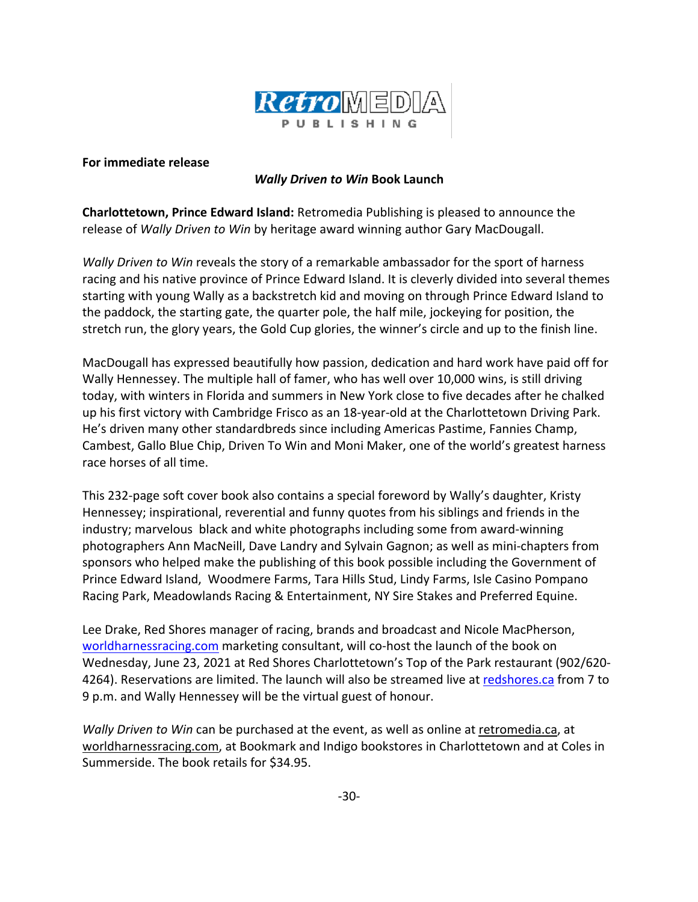

## **For immediate release**

## *Wally Driven to Win* **Book Launch**

**Charlottetown, Prince Edward Island:** Retromedia Publishing is pleased to announce the release of *Wally Driven to Win* by heritage award winning author Gary MacDougall.

*Wally Driven to Win* reveals the story of a remarkable ambassador for the sport of harness racing and his native province of Prince Edward Island. It is cleverly divided into several themes starting with young Wally as a backstretch kid and moving on through Prince Edward Island to the paddock, the starting gate, the quarter pole, the half mile, jockeying for position, the stretch run, the glory years, the Gold Cup glories, the winner's circle and up to the finish line.

MacDougall has expressed beautifully how passion, dedication and hard work have paid off for Wally Hennessey. The multiple hall of famer, who has well over 10,000 wins, is still driving today, with winters in Florida and summers in New York close to five decades after he chalked up his first victory with Cambridge Frisco as an 18-year-old at the Charlottetown Driving Park. He's driven many other standardbreds since including Americas Pastime, Fannies Champ, Cambest, Gallo Blue Chip, Driven To Win and Moni Maker, one of the world's greatest harness race horses of all time.

This 232-page soft cover book also contains a special foreword by Wally's daughter, Kristy Hennessey; inspirational, reverential and funny quotes from his siblings and friends in the industry; marvelous black and white photographs including some from award-winning photographers Ann MacNeill, Dave Landry and Sylvain Gagnon; as well as mini-chapters from sponsors who helped make the publishing of this book possible including the Government of Prince Edward Island, Woodmere Farms, Tara Hills Stud, Lindy Farms, Isle Casino Pompano Racing Park, Meadowlands Racing & Entertainment, NY Sire Stakes and Preferred Equine.

Lee Drake, Red Shores manager of racing, brands and broadcast and Nicole MacPherson, worldharnessracing.com marketing consultant, will co-host the launch of the book on Wednesday, June 23, 2021 at Red Shores Charlottetown's Top of the Park restaurant (902/620- 4264). Reservations are limited. The launch will also be streamed live at redshores.ca from 7 to 9 p.m. and Wally Hennessey will be the virtual guest of honour.

*Wally Driven to Win* can be purchased at the event, as well as online at retromedia.ca, at worldharnessracing.com, at Bookmark and Indigo bookstores in Charlottetown and at Coles in Summerside. The book retails for \$34.95.